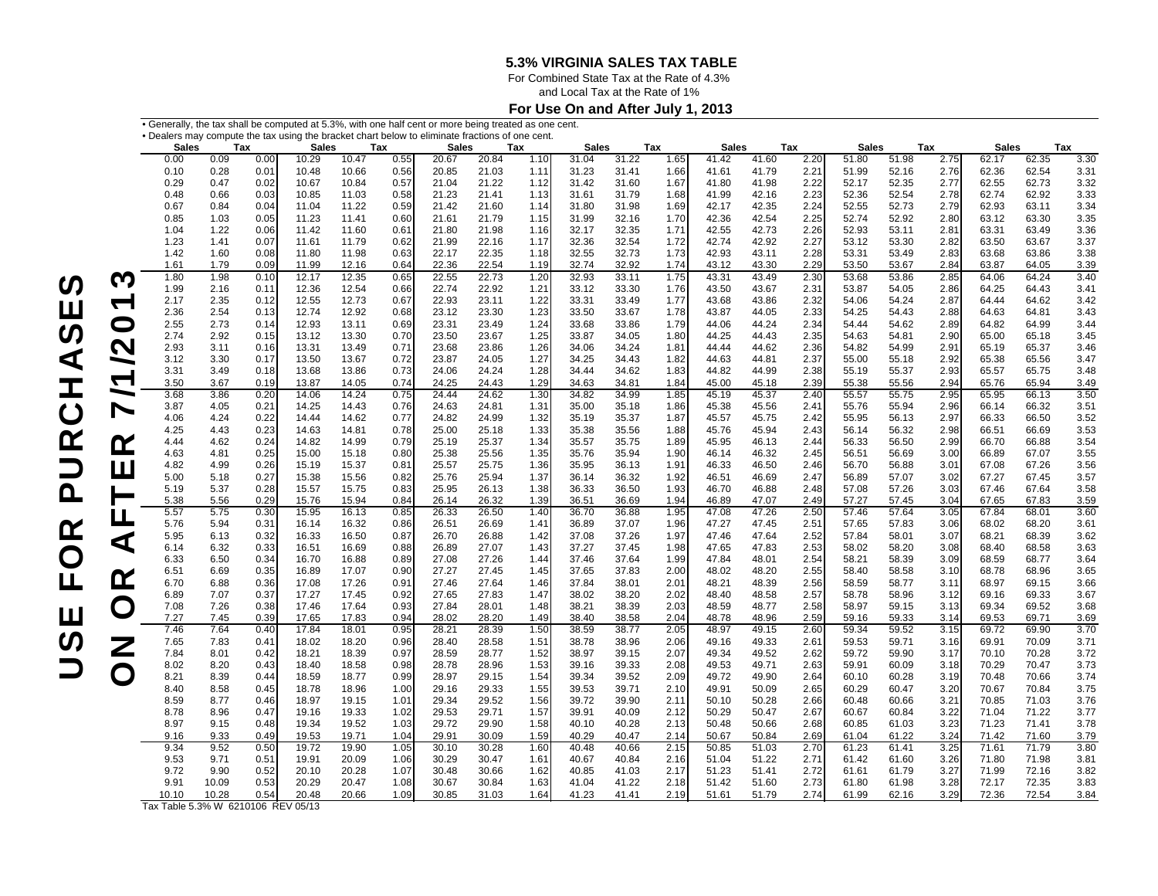For Combined State Tax at the Rate of 4.3%

and Local Tax at the Rate of 1%

### **For Use On and After July 1, 2013**

|                       | . Generally, the tax shall be computed at 5.3%, with one half cent or more being treated as one cent. |              |              |                       |                |              |                       |                |              |                |                |              |                       |                |              |                                               |                |              |                       |                |              |
|-----------------------|-------------------------------------------------------------------------------------------------------|--------------|--------------|-----------------------|----------------|--------------|-----------------------|----------------|--------------|----------------|----------------|--------------|-----------------------|----------------|--------------|-----------------------------------------------|----------------|--------------|-----------------------|----------------|--------------|
|                       | . Dealers may compute the tax using the bracket chart below to eliminate fractions of one cent.       |              |              |                       |                |              |                       |                |              |                |                |              |                       |                |              |                                               |                |              |                       |                |              |
|                       | <b>Sales</b><br>Tax<br>0.00<br>0.09<br>0.00                                                           |              |              | <b>Sales</b><br>10.29 | 10.47          | Tax<br>0.55  | <b>Sales</b><br>20.67 | 20.84          | Tax<br>1.10  | Sales<br>31.04 | 31.22          | Tax<br>1.65  | <b>Sales</b><br>41.42 | 41.60          | Tax<br>2.20  | <b>Sales</b><br>Tax<br>51.80<br>51.98<br>2.75 |                |              | <b>Sales</b><br>62.17 | 62.35          | Tax<br>3.30  |
|                       | 0.10                                                                                                  | 0.28         | 0.01         | 10.48                 | 10.66          | 0.56         | 20.85                 | 21.03          | 1.11         | 31.23          | 31.41          | 1.66         | 41.61                 | 41.79          | 2.21         | 51.99                                         | 52.16          | 2.76         | 62.36                 | 62.54          | 3.31         |
|                       | 0.29                                                                                                  | 0.47         | 0.02         | 10.67                 | 10.84          | 0.57         | 21.04                 | 21.22          | 1.12         | 31.42          | 31.60          | 1.67         | 41.80                 | 41.98          | 2.22         | 52.17                                         | 52.35          | 2.77         | 62.55                 | 62.73          | 3.32         |
|                       | 0.48                                                                                                  | 0.66         | 0.03         | 10.85                 | 11.03          | 0.58         | 21.23                 | 21.41          | 1.13         | 31.61          | 31.79          | 1.68         | 41.99                 | 42.16          | 2.23         | 52.36                                         | 52.54          | 2.78         | 62.74                 | 62.92          | 3.33         |
|                       | 0.67                                                                                                  | 0.84         | 0.04         | 11.04                 | 11.22          | 0.59         | 21.42                 | 21.60          | 1.14         | 31.80          | 31.98          | 1.69         | 42.17                 | 42.35          | 2.24         | 52.55                                         | 52.73          | 2.79         | 62.93                 | 63.11          | 3.34         |
|                       | 0.85                                                                                                  | 1.03         | 0.05         | 11.23                 | 11.41          | 0.60         | 21.61                 | 21.79          | 1.15         | 31.99          | 32.16          | 1.70         | 42.36                 | 42.54          | 2.25         | 52.74                                         | 52.92          | 2.80         | 63.12                 | 63.30          | 3.35         |
|                       | 1.04                                                                                                  | 1.22         | 0.06         | 11.42                 | 11.60          | 0.61         | 21.80                 | 21.98          | 1.16         | 32.17          | 32.35          | 1.71         | 42.55                 | 42.73          | 2.26         | 52.93                                         | 53.11          | 2.81         | 63.31                 | 63.49          | 3.36         |
|                       | 1.23                                                                                                  | 1.41         | 0.07         | 11.61                 | 11.79          | 0.62         | 21.99                 | 22.16          | 1.17         | 32.36          | 32.54          | 1.72         | 42.74                 | 42.92          | 2.27         | 53.12                                         | 53.30          | 2.82         | 63.50                 | 63.67          | 3.37         |
|                       | 1.42                                                                                                  | 1.60         | 0.08         | 11.80                 | 11.98          | 0.63         | 22.17                 | 22.35          | 1.18         | 32.55          | 32.73          | 1.73         | 42.93                 | 43.11          | 2.28         | 53.31                                         | 53.49          | 2.83         | 63.68                 | 63.86          | 3.38         |
|                       | 1.61                                                                                                  | 1.79         | 0.09         | 11.99                 | 12.16          | 0.64         | 22.36                 | 22.54          | 1.19         | 32.74          | 32.92          | 1.74         | 43.12                 | 43.30          | 2.29         | 53.50                                         | 53.67          | 2.84         | 63.87                 | 64.05          | 3.39         |
| M                     | 1.80                                                                                                  | 1.98         | 0.10         | 12.17                 | 12.35          | 0.65         | 22.55                 | 22.73          | 1.20         | 32.93          | 33.11          | 1.75         | 43.31                 | 43.49          | 2.30         | 53.68                                         | 53.86          | 2.85         | 64.06                 | 64.24          | 3.40         |
|                       | 1.99<br>2.17                                                                                          | 2.16<br>2.35 | 0.11<br>0.12 | 12.36<br>12.55        | 12.54<br>12.73 | 0.66<br>0.67 | 22.74<br>22.93        | 22.92<br>23.11 | 1.21<br>1.22 | 33.12<br>33.31 | 33.30<br>33.49 | 1.76<br>1.77 | 43.50<br>43.68        | 43.67<br>43.86 | 2.31<br>2.32 | 53.87<br>54.06                                | 54.05<br>54.24 | 2.86<br>2.87 | 64.25<br>64.44        | 64.43<br>64.62 | 3.41<br>3.42 |
| ┯                     | 2.36                                                                                                  | 2.54         | 0.13         | 12.74                 | 12.92          | 0.68         | 23.12                 | 23.30          | 1.23         | 33.50          | 33.67          | 1.78         | 43.87                 | 44.05          | 2.33         | 54.25                                         | 54.43          | 2.88         | 64.63                 | 64.81          | 3.43         |
| O                     | 2.55                                                                                                  | 2.73         | 0.14         | 12.93                 | 13.11          | 0.69         | 23.31                 | 23.49          | 1.24         | 33.68          | 33.86          | 1.79         | 44.06                 | 44.24          | 2.34         | 54.44                                         | 54.62          | 2.89         | 64.82                 | 64.99          | 3.44         |
|                       | 2.74                                                                                                  | 2.92         | 0.15         | 13.12                 | 13.30          | 0.70         | 23.50                 | 23.67          | 1.25         | 33.87          | 34.05          | 1.80         | 44.25                 | 44.43          | 2.35         | 54.63                                         | 54.81          | 2.90         | 65.00                 | 65.18          | 3.45         |
| N                     | 2.93                                                                                                  | 3.11         | 0.16         | 13.31                 | 13.49          | 0.71         | 23.68                 | 23.86          | 1.26         | 34.06          | 34.24          | 1.81         | 44.44                 | 44.62          | 2.36         | 54.82                                         | 54.99          | 2.91         | 65.19                 | 65.37          | 3.46         |
| ➤                     | 3.12                                                                                                  | 3.30         | 0.17         | 13.50                 | 13.67          | 0.72         | 23.87                 | 24.05          | 1.27         | 34.25          | 34.43          | 1.82         | 44.63                 | 44.81          | 2.37         | 55.00                                         | 55.18          | 2.92         | 65.38                 | 65.56          | 3.47         |
|                       | 3.31                                                                                                  | 3.49         | 0.18         | 13.68                 | 13.86          | 0.73         | 24.06                 | 24.24          | 1.28         | 34.44          | 34.62          | 1.83         | 44.82                 | 44.99          | 2.38         | 55.19                                         | 55.37          | 2.93         | 65.57                 | 65.75          | 3.48         |
| $\blacktriangledown$  | 3.50                                                                                                  | 3.67         | 0.19         | 13.87                 | 14.05          | 0.74         | 24.25                 | 24.43          | 1.29         | 34.63          | 34.81          | 1.84         | 45.00                 | 45.18          | 2.39         | 55.38                                         | 55.56          | 2.94         | 65.76                 | 65.94          | 3.49         |
|                       | 3.68                                                                                                  | 3.86         | 0.20         | 14.06                 | 14.24          | 0.75         | 24.44                 | 24.62          | 1.30         | 34.82          | 34.99          | 1.85         | 45.19                 | 45.37          | 2.40         | 55.57                                         | 55.75          | 2.95         | 65.95                 | 66.13          | 3.50         |
| $\blacktriangleright$ | 3.87                                                                                                  | 4.05         | 0.21         | 14.25                 | 14.43          | 0.76         | 24.63                 | 24.81          | 1.31         | 35.00          | 35.18          | 1.86         | 45.38                 | 45.56          | 2.41         | 55.76                                         | 55.94          | 2.96         | 66.14                 | 66.32          | 3.51         |
|                       | 4.06                                                                                                  | 4.24         | 0.22         | 14.44                 | 14.62          | 0.77         | 24.82                 | 24.99          | 1.32         | 35.19          | 35.37          | 1.87         | 45.57                 | 45.75          | 2.42         | 55.95                                         | 56.13          | 2.97         | 66.33                 | 66.50          | 3.52         |
|                       | 4.25                                                                                                  | 4.43         | 0.23         | 14.63                 | 14.81          | 0.78         | 25.00                 | 25.18          | 1.33         | 35.38          | 35.56          | 1.88         | 45.76                 | 45.94          | 2.43         | 56.14                                         | 56.32          | 2.98         | 66.51                 | 66.69          | 3.53         |
| $\boldsymbol{\alpha}$ | 4.44                                                                                                  | 4.62         | 0.24         | 14.82                 | 14.99          | 0.79         | 25.19                 | 25.37          | 1.34         | 35.57          | 35.75          | 1.89         | 45.95                 | 46.13          | 2.44         | 56.33                                         | 56.50          | 2.99         | 66.70                 | 66.88          | 3.54         |
|                       | 4.63<br>4.82                                                                                          | 4.81<br>4.99 | 0.25<br>0.26 | 15.00<br>15.19        | 15.18<br>15.37 | 0.80<br>0.81 | 25.38<br>25.57        | 25.56<br>25.75 | 1.35<br>1.36 | 35.76<br>35.95 | 35.94<br>36.13 | 1.90<br>1.91 | 46.14<br>46.33        | 46.32<br>46.50 | 2.45<br>2.46 | 56.51<br>56.70                                | 56.69<br>56.88 | 3.00<br>3.01 | 66.89<br>67.08        | 67.07<br>67.26 | 3.55<br>3.56 |
| $\mathbf{u}$          | 5.00                                                                                                  | 5.18         | 0.27         | 15.38                 | 15.56          | 0.82         | 25.76                 | 25.94          | 1.37         | 36.14          | 36.32          | 1.92         | 46.51                 | 46.69          | 2.47         | 56.89                                         | 57.07          | 3.02         | 67.27                 | 67.45          | 3.57         |
|                       | 5.19                                                                                                  | 5.37         | 0.28         | 15.57                 | 15.75          | 0.83         | 25.95                 | 26.13          | 1.38         | 36.33          | 36.50          | 1.93         | 46.70                 | 46.88          | 2.48         | 57.08                                         | 57.26          | 3.03         | 67.46                 | 67.64          | 3.58         |
|                       | 5.38                                                                                                  | 5.56         | 0.29         | 15.76                 | 15.94          | 0.84         | 26.14                 | 26.32          | 1.39         | 36.51          | 36.69          | 1.94         | 46.89                 | 47.07          | 2.49         | 57.27                                         | 57.45          | 3.04         | 67.65                 | 67.83          | 3.59         |
|                       | 5.57                                                                                                  | 5.75         | 0.30         | 15.95                 | 16.13          | 0.85         | 26.33                 | 26.50          | 1.40         | 36.70          | 36.88          | 1.95         | 47.08                 | 47.26          | 2.50         | 57.46                                         | 57.64          | 3.05         | 67.84                 | 68.01          | 3.60         |
| $\mathbf{I}$          | 5.76                                                                                                  | 5.94         | 0.31         | 16.14                 | 16.32          | 0.86         | 26.51                 | 26.69          | 1.41         | 36.89          | 37.07          | 1.96         | 47.27                 | 47.45          | 2.51         | 57.65                                         | 57.83          | 3.06         | 68.02                 | 68.20          | 3.61         |
| ⋖                     | 5.95                                                                                                  | 6.13         | 0.32         | 16.33                 | 16.50          | 0.87         | 26.70                 | 26.88          | 1.42         | 37.08          | 37.26          | 1.97         | 47.46                 | 47.64          | 2.52         | 57.84                                         | 58.01          | 3.07         | 68.21                 | 68.39          | 3.62         |
|                       | 6.14                                                                                                  | 6.32         | 0.33         | 16.51                 | 16.69          | 0.88         | 26.89                 | 27.07          | 1.43         | 37.27          | 37.45          | 1.98         | 47.65                 | 47.83          | 2.53         | 58.02                                         | 58.20          | 3.08         | 68.40                 | 68.58          | 3.63         |
|                       | 6.33                                                                                                  | 6.50         | 0.34         | 16.70                 | 16.88          | 0.89         | 27.08                 | 27.26          | 1.44         | 37.46          | 37.64          | 1.99         | 47.84                 | 48.01          | 2.54         | 58.21                                         | 58.39          | 3.09         | 68.59                 | 68.77          | 3.64         |
| <u>ନ</u>              | 6.51                                                                                                  | 6.69         | 0.35         | 16.89                 | 17.07          | 0.90         | 27.27                 | 27.45          | 1.45         | 37.65          | 37.83          | 2.00         | 48.02                 | 48.20          | 2.55         | 58.40                                         | 58.58          | 3.10         | 68.78                 | 68.96          | 3.65         |
|                       | 6.70<br>6.89                                                                                          | 6.88<br>7.07 | 0.36<br>0.37 | 17.08<br>17.27        | 17.26<br>17.45 | 0.91<br>0.92 | 27.46<br>27.65        | 27.64<br>27.83 | 1.46<br>1.47 | 37.84<br>38.02 | 38.01<br>38.20 | 2.01<br>2.02 | 48.21<br>48.40        | 48.39<br>48.58 | 2.56<br>2.57 | 58.59<br>58.78                                | 58.77<br>58.96 | 3.11<br>3.12 | 68.97<br>69.16        | 69.15<br>69.33 | 3.66<br>3.67 |
| O                     | 7.08                                                                                                  | 7.26         | 0.38         | 17.46                 | 17.64          | 0.93         | 27.84                 | 28.01          | 1.48         | 38.21          | 38.39          | 2.03         | 48.59                 | 48.77          | 2.58         | 58.97                                         | 59.15          | 3.13         | 69.34                 | 69.52          | 3.68         |
|                       | 7.27                                                                                                  | 7.45         | 0.39         | 17.65                 | 17.83          | 0.94         | 28.02                 | 28.20          | 1.49         | 38.40          | 38.58          | 2.04         | 48.78                 | 48.96          | 2.59         | 59.16                                         | 59.33          | 3.14         | 69.53                 | 69.71          | 3.69         |
|                       | 7.46                                                                                                  | 7.64         | 0.40         | 17.84                 | 18.01          | 0.95         | 28.21                 | 28.39          | 1.50         | 38.59          | 38.77          | 2.05         | 48.97                 | 49.15          | 2.60         | 59.34                                         | 59.52          | 3.15         | 69.72                 | 69.90          | 3.70         |
| Ζ                     | 7.65                                                                                                  | 7.83         | 0.41         | 18.02                 | 18.20          | 0.96         | 28.40                 | 28.58          | 1.51         | 38.78          | 38.96          | 2.06         | 49.16                 | 49.33          | 2.61         | 59.53                                         | 59.71          | 3.16         | 69.91                 | 70.09          | 3.71         |
|                       | 7.84                                                                                                  | 8.01         | 0.42         | 18.21                 | 18.39          | 0.97         | 28.59                 | 28.77          | 1.52         | 38.97          | 39.15          | 2.07         | 49.34                 | 49.52          | 2.62         | 59.72                                         | 59.90          | 3.17         | 70.10                 | 70.28          | 3.72         |
|                       | 8.02                                                                                                  | 8.20         | 0.43         | 18.40                 | 18.58          | 0.98         | 28.78                 | 28.96          | 1.53         | 39.16          | 39.33          | 2.08         | 49.53                 | 49.71          | 2.63         | 59.91                                         | 60.09          | 3.18         | 70.29                 | 70.47          | 3.73         |
| O                     | 8.21                                                                                                  | 8.39         | 0.44         | 18.59                 | 18.77          | 0.99         | 28.97                 | 29.15          | 1.54         | 39.34          | 39.52          | 2.09         | 49.72                 | 49.90          | 2.64         | 60.10                                         | 60.28          | 3.19         | 70.48                 | 70.66          | 3.74         |
|                       | 8.40                                                                                                  | 8.58         | 0.45         | 18.78                 | 18.96          | 1.00         | 29.16                 | 29.33          | 1.55         | 39.53          | 39.71          | 2.10         | 49.91                 | 50.09          | 2.65         | 60.29                                         | 60.47          | 3.20         | 70.67                 | 70.84          | 3.75         |
|                       | 8.59                                                                                                  | 8.77         | 0.46         | 18.97                 | 19.15          | 1.01         | 29.34                 | 29.52          | 1.56         | 39.72          | 39.90          | 2.11         | 50.10                 | 50.28          | 2.66         | 60.48                                         | 60.66          | 3.21         | 70.85                 | 71.03          | 3.76         |
|                       | 8.78                                                                                                  | 8.96         | 0.47         | 19.16                 | 19.33          | 1.02         | 29.53                 | 29.71          | 1.57         | 39.91          | 40.09          | 2.12         | 50.29                 | 50.47          | 2.67         | 60.67                                         | 60.84          | 3.22         | 71.04                 | 71.22          | 3.77         |
|                       | 8.97<br>9.16                                                                                          | 9.15<br>9.33 | 0.48<br>0.49 | 19.34<br>19.53        | 19.52<br>19.71 | 1.03<br>1.04 | 29.72<br>29.91        | 29.90<br>30.09 | 1.58<br>1.59 | 40.10<br>40.29 | 40.28<br>40.47 | 2.13<br>2.14 | 50.48<br>50.67        | 50.66<br>50.84 | 2.68<br>2.69 | 60.85<br>61.04                                | 61.03<br>61.22 | 3.23<br>3.24 | 71.23<br>71.42        | 71.41<br>71.60 | 3.78<br>3.79 |
|                       | 9.34                                                                                                  | 9.52         | 0.50         | 19.72                 | 19.90          | 1.05         | 30.10                 | 30.28          | 1.60         | 40.48          | 40.66          | 2.15         | 50.85                 | 51.03          | 2.70         | 61.23                                         | 61.41          | 3.25         | 71.61                 | 71.79          | 3.80         |
|                       | 9.53                                                                                                  | 9.71         | 0.51         | 19.91                 | 20.09          | 1.06         | 30.29                 | 30.47          | 1.61         | 40.67          | 40.84          | 2.16         | 51.04                 | 51.22          | 2.71         | 61.42                                         | 61.60          | 3.26         | 71.80                 | 71.98          | 3.81         |
|                       | 9.72                                                                                                  | 9.90         | 0.52         | 20.10                 | 20.28          | 1.07         | 30.48                 | 30.66          | 1.62         | 40.85          | 41.03          | 2.17         | 51.23                 | 51.41          | 2.72         | 61.61                                         | 61.79          | 3.27         | 71.99                 | 72.16          | 3.82         |
|                       | 9.91                                                                                                  | 10.09        | 0.53         | 20.29                 | 20.47          | 1.08         | 30.67                 | 30.84          | 1.63         | 41.04          | 41.22          | 2.18         | 51.42                 | 51.60          | 2.73         | 61.80                                         | 61.98          | 3.28         | 72.17                 | 72.35          | 3.83         |
|                       | 10.10                                                                                                 | 10.28        | 0.54         | 20.48                 | 20.66          | 1.09         | 30.85                 | 31.03          | 1.64         | 41.23          | 41.41          | 2.19         | 51.61                 | 51.79          | 2.74         | 61.99                                         | 62.16          | 3.29         | 72.36                 | 72.54          | 3.84         |

Tax Table 5.3% W 6210106 REV 05/13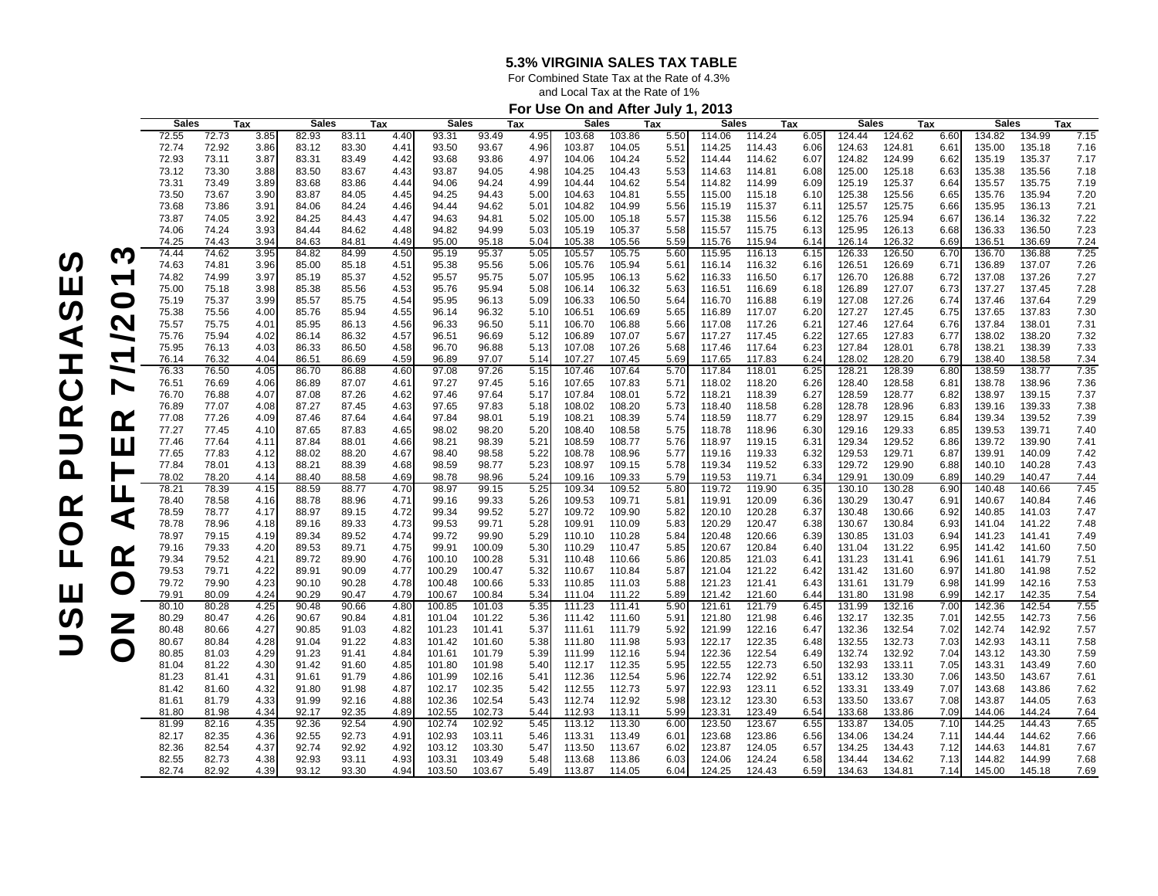For Combined State Tax at the Rate of 4.3%

and Local Tax at the Rate of 1%

## **For Use On and After July 1, 2013**

|                           |              |       |      |              |       |      |              | . .    |      |              |        |      |              |        |      |              |        |      |              |        |      |
|---------------------------|--------------|-------|------|--------------|-------|------|--------------|--------|------|--------------|--------|------|--------------|--------|------|--------------|--------|------|--------------|--------|------|
|                           | <b>Sales</b> |       | Tax  | <b>Sales</b> |       | Tax  | <b>Sales</b> |        | Tax  | <b>Sales</b> |        | Tax  | <b>Sales</b> |        | Tax  | <b>Sales</b> |        | Tax  | <b>Sales</b> |        | Tax  |
|                           | 72.55        | 72.73 | 3.85 | 82.93        | 83.11 | 4.40 | 93.31        | 93.49  | 4.95 | 103.68       | 103.86 | 5.50 | 114.06       | 114.24 | 6.05 | 124.44       | 124.62 | 6.60 | 134.82       | 134.99 | 7.15 |
|                           | 72.74        | 72.92 | 3.86 | 83.12        | 83.30 | 4.41 | 93.50        | 93.67  | 4.96 | 103.87       | 104.05 | 5.51 | 114.25       | 114.43 | 6.06 | 124.63       | 124.81 | 6.61 | 135.00       | 135.18 | 7.16 |
|                           | 72.93        | 73.11 | 3.87 | 83.31        | 83.49 | 4.42 | 93.68        | 93.86  | 4.97 | 104.06       | 104.24 | 5.52 | 114.44       | 114.62 | 6.07 | 124.82       | 124.99 | 6.62 | 135.19       | 135.37 | 7.17 |
|                           | 73.12        | 73.30 | 3.88 | 83.50        | 83.67 | 4.43 | 93.87        | 94.05  | 4.98 | 104.25       | 104.43 | 5.53 | 114.63       | 114.81 | 6.08 | 125.00       | 125.18 | 6.63 | 135.38       | 135.56 | 7.18 |
|                           | 73.31        | 73.49 | 3.89 |              | 83.86 | 4.44 |              | 94.24  | 4.99 |              | 104.62 |      | 114.82       |        |      | 125.19       | 125.37 |      | 135.57       | 135.75 | 7.19 |
|                           |              |       |      | 83.68        |       |      | 94.06        |        |      | 104.44       |        | 5.54 |              | 114.99 | 6.09 |              |        | 6.64 |              |        |      |
|                           | 73.50        | 73.67 | 3.90 | 83.87        | 84.05 | 4.45 | 94.25        | 94.43  | 5.00 | 104.63       | 104.81 | 5.55 | 115.00       | 115.18 | 6.10 | 125.38       | 125.56 | 6.65 | 135.76       | 135.94 | 7.20 |
|                           | 73.68        | 73.86 | 3.91 | 84.06        | 84.24 | 4.46 | 94.44        | 94.62  | 5.01 | 104.82       | 104.99 | 5.56 | 115.19       | 115.37 | 6.11 | 125.57       | 125.75 | 6.66 | 135.95       | 136.13 | 7.21 |
|                           | 73.87        | 74.05 | 3.92 | 84.25        | 84.43 | 4.47 | 94.63        | 94.81  | 5.02 | 105.00       | 105.18 | 5.57 | 115.38       | 115.56 | 6.12 | 125.76       | 125.94 | 6.67 | 136.14       | 136.32 | 7.22 |
|                           | 74.06        | 74.24 | 3.93 | 84.44        | 84.62 | 4.48 | 94.82        | 94.99  | 5.03 | 105.19       | 105.37 | 5.58 | 115.57       | 115.75 | 6.13 | 125.95       | 126.13 | 6.68 | 136.33       | 136.50 | 7.23 |
|                           | 74.25        | 74.43 | 3.94 | 84.63        | 84.81 | 4.49 | 95.00        | 95.18  | 5.04 | 105.38       | 105.56 | 5.59 | 115.76       | 115.94 | 6.14 | 126.14       | 126.32 | 6.69 | 136.51       | 136.69 | 7.24 |
|                           | 74.44        | 74.62 | 3.95 | 84.82        | 84.99 | 4.50 | 95.19        | 95.37  | 5.05 | 105.57       | 105.75 | 5.60 | 115.95       | 116.13 | 6.15 | 126.33       | 126.50 | 6.70 | 136.70       | 136.88 | 7.25 |
| M                         |              |       |      |              |       |      |              |        |      |              |        |      |              |        |      |              |        |      |              |        |      |
|                           | 74.63        | 74.81 | 3.96 | 85.00        | 85.18 | 4.51 | 95.38        | 95.56  | 5.06 | 105.76       | 105.94 | 5.61 | 116.14       | 116.32 | 6.16 | 126.51       | 126.69 | 6.71 | 136.89       | 137.07 | 7.26 |
|                           | 74.82        | 74.99 | 3.97 | 85.19        | 85.37 | 4.52 | 95.57        | 95.75  | 5.07 | 105.95       | 106.13 | 5.62 | 116.33       | 116.50 | 6.17 | 126.70       | 126.88 | 6.72 | 137.08       | 137.26 | 7.27 |
|                           | 75.00        | 75.18 | 3.98 | 85.38        | 85.56 | 4.53 | 95.76        | 95.94  | 5.08 | 106.14       | 106.32 | 5.63 | 116.51       | 116.69 | 6.18 | 126.89       | 127.07 | 6.73 | 137.27       | 137.45 | 7.28 |
| $\mathbf\Omega$           | 75.19        | 75.37 | 3.99 | 85.57        | 85.75 | 4.54 | 95.95        | 96.13  | 5.09 | 106.33       | 106.50 | 5.64 | 116.70       | 116.88 | 6.19 | 127.08       | 127.26 | 6.74 | 137.46       | 137.64 | 7.29 |
|                           | 75.38        | 75.56 | 4.00 | 85.76        | 85.94 | 4.55 | 96.14        | 96.32  | 5.10 | 106.51       | 106.69 | 5.65 | 116.89       | 117.07 | 6.2C | 127.27       | 127.45 | 6.75 | 137.65       | 137.83 | 7.30 |
| $\boldsymbol{\mathsf{N}}$ | 75.57        | 75.75 | 4.01 | 85.95        | 86.13 | 4.56 | 96.33        | 96.50  | 5.11 | 106.70       | 106.88 | 5.66 | 117.08       | 117.26 | 6.21 | 127.46       | 127.64 | 6.76 | 137.84       | 138.01 | 7.31 |
|                           |              |       |      |              |       |      |              |        |      |              |        |      |              |        |      |              |        |      |              |        |      |
| ∼                         | 75.76        | 75.94 | 4.02 | 86.14        | 86.32 | 4.57 | 96.51        | 96.69  | 5.12 | 106.89       | 107.07 | 5.67 | 117.27       | 117.45 | 6.22 | 127.65       | 127.83 | 6.77 | 138.02       | 138.20 | 7.32 |
| $\blacktriangledown$      | 75.95        | 76.13 | 4.03 | 86.33        | 86.50 | 4.58 | 96.70        | 96.88  | 5.13 | 107.08       | 107.26 | 5.68 | 117.46       | 117.64 | 6.23 | 127.84       | 128.01 | 6.78 | 138.21       | 138.39 | 7.33 |
|                           | 76.14        | 76.32 | 4.04 | 86.51        | 86.69 | 4.59 | 96.89        | 97.07  | 5.14 | 107.27       | 107.45 | 5.69 | 117.65       | 117.83 | 6.24 | 128.02       | 128.20 | 6.79 | 138.40       | 138.58 | 7.34 |
| $\overline{\phantom{0}}$  | 76.33        | 76.50 | 4.05 | 86.70        | 86.88 | 4.60 | 97.08        | 97.26  | 5.15 | 107.46       | 107.64 | 5.70 | 117.84       | 118.01 | 6.25 | 128.21       | 128.39 | 6.80 | 138.59       | 138.77 | 7.35 |
| $\blacktriangleright$     | 76.51        | 76.69 | 4.06 | 86.89        | 87.07 | 4.61 | 97.27        | 97.45  | 5.16 | 107.65       | 107.83 | 5.71 | 118.02       | 118.20 | 6.26 | 128.40       | 128.58 | 6.81 | 138.78       | 138.96 | 7.36 |
|                           | 76.70        | 76.88 | 4.07 | 87.08        | 87.26 | 4.62 | 97.46        | 97.64  | 5.17 | 107.84       | 108.01 | 5.72 | 118.21       | 118.39 | 6.27 | 128.59       | 128.77 | 6.82 | 138.97       | 139.15 | 7.37 |
|                           | 76.89        | 77.07 | 4.08 | 87.27        | 87.45 | 4.63 | 97.65        | 97.83  | 5.18 | 108.02       | 108.20 | 5.73 | 118.40       | 118.58 | 6.28 | 128.78       | 128.96 | 6.83 | 139.16       | 139.33 | 7.38 |
|                           |              |       |      |              |       |      |              |        |      |              |        |      |              |        |      |              |        |      |              |        |      |
| <u>r</u>                  | 77.08        | 77.26 | 4.09 | 87.46        | 87.64 | 4.64 | 97.84        | 98.01  | 5.19 | 108.21       | 108.39 | 5.74 | 118.59       | 118.77 | 6.29 | 128.97       | 129.15 | 6.84 | 139.34       | 139.52 | 7.39 |
|                           | 77.27        | 77.45 | 4.10 | 87.65        | 87.83 | 4.65 | 98.02        | 98.20  | 5.20 | 108.40       | 108.58 | 5.75 | 118.78       | 118.96 | 6.30 | 129.16       | 129.33 | 6.85 | 139.53       | 139.71 | 7.40 |
| Ш                         | 77.46        | 77.64 | 4.11 | 87.84        | 88.01 | 4.66 | 98.21        | 98.39  | 5.21 | 108.59       | 108.77 | 5.76 | 118.97       | 119.15 | 6.31 | 129.34       | 129.52 | 6.86 | 139.72       | 139.90 | 7.41 |
|                           | 77.65        | 77.83 | 4.12 | 88.02        | 88.20 | 4.67 | 98.40        | 98.58  | 5.22 | 108.78       | 108.96 | 5.77 | 119.16       | 119.33 | 6.32 | 129.53       | 129.71 | 6.87 | 139.91       | 140.09 | 7.42 |
|                           | 77.84        | 78.01 | 4.13 | 88.21        | 88.39 | 4.68 | 98.59        | 98.77  | 5.23 | 108.97       | 109.15 | 5.78 | 119.34       | 119.52 | 6.33 | 129.72       | 129.90 | 6.88 | 140.10       | 140.28 | 7.43 |
|                           | 78.02        | 78.20 | 4.14 | 88.40        | 88.58 | 4.69 | 98.78        | 98.96  | 5.24 | 109.16       | 109.33 | 5.79 | 119.53       | 119.71 | 6.34 | 129.91       | 130.09 | 6.89 | 140.29       | 140.47 | 7.44 |
|                           | 78.21        | 78.39 | 4.15 | 88.59        | 88.77 | 4.70 | 98.97        | 99.15  | 5.25 | 109.34       | 109.52 | 5.80 | 119.72       | 119.90 | 6.35 | 130.10       | 130.28 | 6.90 | 140.48       | 140.66 | 7.45 |
| L                         | 78.40        | 78.58 | 4.16 | 88.78        | 88.96 | 4.71 | 99.16        | 99.33  | 5.26 | 109.53       | 109.71 | 5.81 | 119.91       | 120.09 | 6.36 | 130.29       | 130.47 | 6.91 | 140.67       | 140.84 | 7.46 |
|                           |              |       |      |              |       |      |              |        |      |              |        |      |              |        |      |              |        |      |              |        |      |
| ◁                         | 78.59        | 78.77 | 4.17 | 88.97        | 89.15 | 4.72 | 99.34        | 99.52  | 5.27 | 109.72       | 109.90 | 5.82 | 120.10       | 120.28 | 6.37 | 130.48       | 130.66 | 6.92 | 140.85       | 141.03 | 7.47 |
|                           | 78.78        | 78.96 | 4.18 | 89.16        | 89.33 | 4.73 | 99.53        | 99.71  | 5.28 | 109.91       | 110.09 | 5.83 | 120.29       | 120.47 | 6.38 | 130.67       | 130.84 | 6.93 | 141.04       | 141.22 | 7.48 |
|                           | 78.97        | 79.15 | 4.19 | 89.34        | 89.52 | 4.74 | 99.72        | 99.90  | 5.29 | 110.10       | 110.28 | 5.84 | 120.48       | 120.66 | 6.39 | 130.85       | 131.03 | 6.94 | 141.23       | 141.41 | 7.49 |
|                           | 79.16        | 79.33 | 4.20 | 89.53        | 89.71 | 4.75 | 99.91        | 100.09 | 5.30 | 110.29       | 110.47 | 5.85 | 120.67       | 120.84 | 6.40 | 131.04       | 131.22 | 6.95 | 141.42       | 141.60 | 7.50 |
| <u>ନ</u>                  | 79.34        | 79.52 | 4.21 | 89.72        | 89.90 | 4.76 | 100.10       | 100.28 | 5.31 | 110.48       | 110.66 | 5.86 | 120.85       | 121.03 | 6.41 | 131.23       | 131.41 | 6.96 | 141.61       | 141.79 | 7.51 |
|                           | 79.53        | 79.71 | 4.22 | 89.91        | 90.09 | 4.77 | 100.29       | 100.47 | 5.32 | 110.67       | 110.84 | 5.87 | 121.04       | 121.22 | 6.42 | 131.42       | 131.60 | 6.97 | 141.80       | 141.98 | 7.52 |
|                           | 79.72        | 79.90 | 4.23 | 90.10        | 90.28 | 4.78 | 100.48       | 100.66 | 5.33 | 110.85       | 111.03 | 5.88 | 121.23       | 121.41 | 6.43 | 131.61       | 131.79 | 6.98 | 141.99       | 142.16 | 7.53 |
| $\mathbf O$               | 79.91        | 80.09 | 4.24 | 90.29        | 90.47 |      | 100.67       | 100.84 |      |              |        |      |              |        |      |              |        |      | 142.17       |        |      |
|                           |              |       |      |              |       | 4.79 |              |        | 5.34 | 111.04       | 111.22 | 5.89 | 121.42       | 121.60 | 6.44 | 131.80       | 131.98 | 6.99 |              | 142.35 | 7.54 |
|                           | 80.10        | 80.28 | 4.25 | 90.48        | 90.66 | 4.80 | 100.85       | 101.03 | 5.35 | 111.23       | 111.41 | 5.90 | 121.61       | 121.79 | 6.45 | 131.99       | 132.16 | 7.00 | 142.36       | 142.54 | 7.55 |
| Ζ                         | 80.29        | 80.47 | 4.26 | 90.67        | 90.84 | 4.81 | 101.04       | 101.22 | 5.36 | 111.42       | 111.60 | 5.91 | 121.80       | 121.98 | 6.46 | 132.17       | 132.35 | 7.01 | 142.55       | 142.73 | 7.56 |
|                           | 80.48        | 80.66 | 4.27 | 90.85        | 91.03 | 4.82 | 101.23       | 101.41 | 5.37 | 111.61       | 111.79 | 5.92 | 121.99       | 122.16 | 6.47 | 132.36       | 132.54 | 7.02 | 142.74       | 142.92 | 7.57 |
|                           | 80.67        | 80.84 | 4.28 | 91.04        | 91.22 | 4.83 | 101.42       | 101.60 | 5.38 | 111.80       | 111.98 | 5.93 | 122.17       | 122.35 | 6.48 | 132.55       | 132.73 | 7.03 | 142.93       | 143.11 | 7.58 |
| $\mathbf O$               | 80.85        | 81.03 | 4.29 | 91.23        | 91.41 | 4.84 | 101.61       | 101.79 | 5.39 | 111.99       | 112.16 | 5.94 | 122.36       | 122.54 | 6.49 | 132.74       | 132.92 | 7.04 | 143.12       | 143.30 | 7.59 |
|                           | 81.04        | 81.22 | 4.30 | 91.42        | 91.60 | 4.85 | 101.80       | 101.98 | 5.40 | 112.17       | 112.35 | 5.95 | 122.55       | 122.73 | 6.50 | 132.93       | 133.11 | 7.05 | 143.31       | 143.49 | 7.60 |
|                           | 81.23        | 81.41 | 4.31 | 91.61        | 91.79 | 4.86 | 101.99       | 102.16 | 5.41 | 112.36       | 112.54 | 5.96 | 122.74       | 122.92 | 6.51 | 133.12       | 133.30 | 7.06 | 143.50       | 143.67 | 7.61 |
|                           |              |       |      |              |       |      |              |        |      |              |        |      |              |        |      |              |        |      |              |        |      |
|                           | 81.42        | 81.60 | 4.32 | 91.80        | 91.98 | 4.87 | 102.17       | 102.35 | 5.42 | 112.55       | 112.73 | 5.97 | 122.93       | 123.11 | 6.52 | 133.31       | 133.49 | 7.07 | 143.68       | 143.86 | 7.62 |
|                           | 81.61        | 81.79 | 4.33 | 91.99        | 92.16 | 4.88 | 102.36       | 102.54 | 5.43 | 112.74       | 112.92 | 5.98 | 123.12       | 123.30 | 6.53 | 133.50       | 133.67 | 7.08 | 143.87       | 144.05 | 7.63 |
|                           | 81.80        | 81.98 | 4.34 | 92.17        | 92.35 | 4.89 | 102.55       | 102.73 | 5.44 | 112.93       | 113.11 | 5.99 | 123.31       | 123.49 | 6.54 | 133.68       | 133.86 | 7.09 | 144.06       | 144.24 | 7.64 |
|                           | 81.99        | 82.16 | 4.35 | 92.36        | 92.54 | 4.90 | 102.74       | 102.92 | 5.45 | 113.12       | 113.30 | 6.00 | 123.50       | 123.67 | 6.55 | 133.87       | 134.05 | 7.10 | 144.25       | 144.43 | 7.65 |
|                           | 82.17        | 82.35 | 4.36 | 92.55        | 92.73 | 4.91 | 102.93       | 103.11 | 5.46 | 113.31       | 113.49 | 6.01 | 123.68       | 123.86 | 6.56 | 134.06       | 134.24 | 7.11 | 144.44       | 144.62 | 7.66 |
|                           | 82.36        | 82.54 | 4.37 | 92.74        | 92.92 | 4.92 | 103.12       | 103.30 | 5.47 | 113.50       | 113.67 | 6.02 | 123.87       | 124.05 | 6.57 | 134.25       | 134.43 | 7.12 | 144.63       | 144.81 | 7.67 |
|                           | 82.55        | 82.73 | 4.38 | 92.93        | 93.11 | 4.93 | 103.31       | 103.49 | 5.48 | 113.68       | 113.86 | 6.03 | 124.06       | 124.24 | 6.58 | 134.44       | 134.62 | 7.13 | 144.82       | 144.99 | 7.68 |
|                           |              |       |      |              |       |      |              |        |      |              |        |      |              |        |      |              |        |      |              |        |      |
|                           | 82.74        | 82.92 | 4.39 | 93.12        | 93.30 | 4.94 | 103.50       | 103.67 | 5.49 | 113.87       | 114.05 | 6.04 | 124.25       | 124.43 | 6.59 | 134.63       | 134.81 | 7.14 | 145.00       | 145.18 | 7.69 |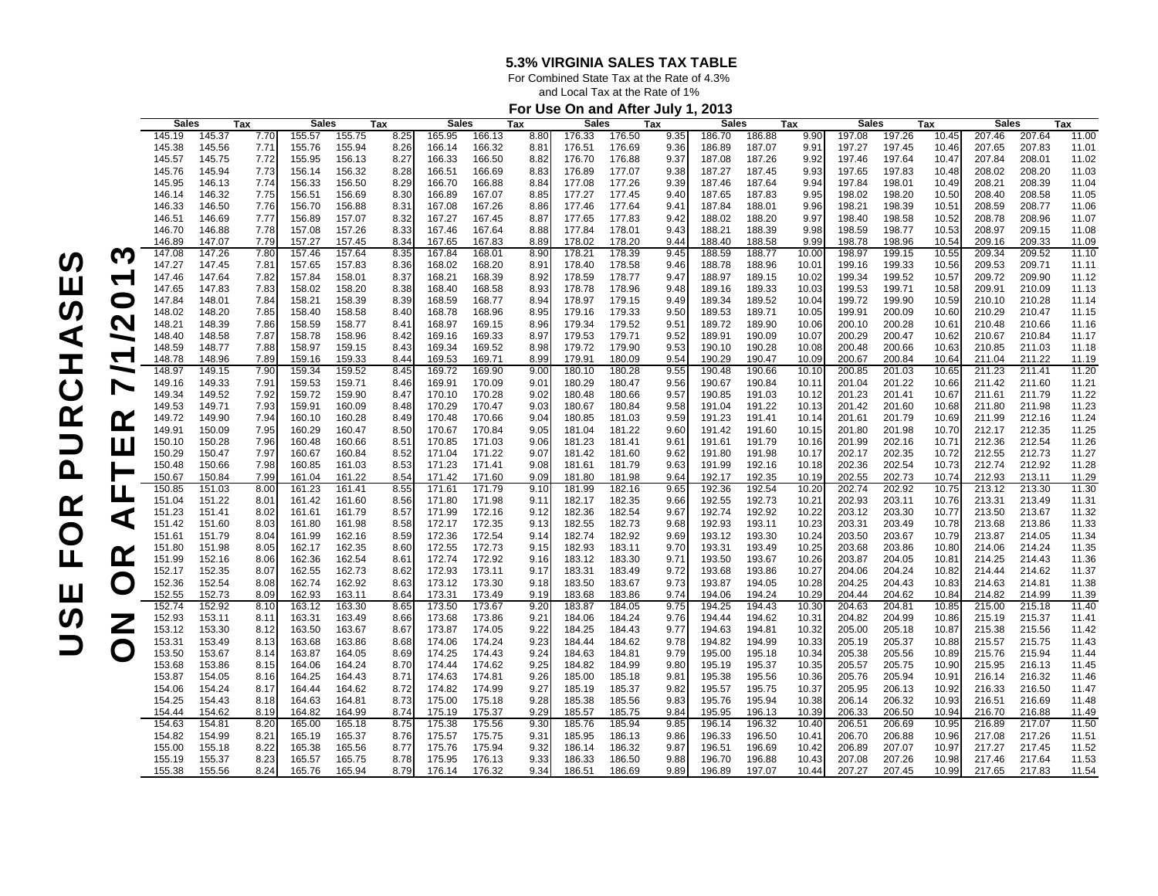For Combined State Tax at the Rate of 4.3%

and Local Tax at the Rate of 1%

## **For Use On and After July 1, 2013**

|                          |              |        |      |                  |        |      |              |        |               |              | $\frac{1}{2}$<br>., |      |              |        |       |              |        |       |              |        |       |
|--------------------------|--------------|--------|------|------------------|--------|------|--------------|--------|---------------|--------------|---------------------|------|--------------|--------|-------|--------------|--------|-------|--------------|--------|-------|
|                          | <b>Sales</b> |        | Tax  | <b>Sales</b>     |        | Tax  | <b>Sales</b> |        | Tax           | <b>Sales</b> |                     | Tax  | <b>Sales</b> |        | Tax   | <b>Sales</b> |        | Tax   | <b>Sales</b> |        | Tax   |
|                          | 145.19       | 145.37 | 7.70 | 155.57           | 155.75 | 8.25 | 165.95       | 166.13 | 8.80          | 176.33       | 176.50              | 9.35 | 186.70       | 186.88 | 9.90  | 197.08       | 197.26 | 10.45 | 207.46       | 207.64 | 11.00 |
|                          | 145.38       | 145.56 | 7.71 | 155.76           | 155.94 | 8.26 | 166.14       | 166.32 | $8.8^{\circ}$ | 176.51       | 176.69              | 9.36 | 186.89       | 187.07 | 9.91  | 197.27       | 197.45 | 10.46 | 207.65       | 207.83 | 11.01 |
|                          | 145.57       | 145.75 | 7.72 | 155.95           | 156.13 | 8.27 | 166.33       | 166.50 | 8.82          | 176.70       | 176.88              | 9.37 | 187.08       | 187.26 | 9.92  | 197.46       | 197.64 | 10.47 | 207.84       | 208.01 | 11.02 |
|                          | 145.76       | 145.94 | 7.73 | 156.14           | 156.32 | 8.28 | 166.51       | 166.69 | 8.83          | 176.89       | 177.07              | 9.38 | 187.27       | 187.45 | 9.93  | 197.65       | 197.83 | 10.48 | 208.02       | 208.20 | 11.03 |
|                          | 145.95       | 146.13 | 7.74 | 156.33           | 156.50 | 8.29 | 166.70       | 166.88 | 8.84          | 177.08       | 177.26              | 9.39 | 187.46       | 187.64 | 9.94  | 197.84       | 198.01 | 10.49 | 208.21       | 208.39 | 11.04 |
|                          | 146.14       | 146.32 | 7.75 | 156.51           | 156.69 | 8.30 | 166.89       | 167.07 | 8.85          | 177.27       | 177.45              | 9.40 | 187.65       | 187.83 | 9.95  | 198.02       | 198.20 | 10.50 | 208.40       | 208.58 | 11.05 |
|                          | 146.33       | 146.50 | 7.76 | 156.70           | 156.88 | 8.31 | 167.08       | 167.26 | 8.86          | 177.46       | 177.64              | 9.41 | 187.84       | 188.01 | 9.96  | 198.21       | 198.39 | 10.51 | 208.59       | 208.77 | 11.06 |
|                          | 146.51       |        |      |                  | 157.07 |      |              |        |               |              | 177.83              |      |              | 188.20 | 9.97  |              | 198.58 |       |              | 208.96 | 11.07 |
|                          |              | 146.69 | 7.77 | 156.89           |        | 8.32 | 167.27       | 167.45 | 8.87          | 177.65       |                     | 9.42 | 188.02       |        |       | 198.40       |        | 10.52 | 208.78       |        |       |
|                          | 146.70       | 146.88 | 7.78 | 157.08           | 157.26 | 8.33 | 167.46       | 167.64 | 8.88          | 177.84       | 178.01              | 9.43 | 188.21       | 188.39 | 9.98  | 198.59       | 198.77 | 10.53 | 208.97       | 209.15 | 11.08 |
|                          | 146.89       | 147.07 | 7.79 | 157.27           | 157.45 | 8.34 | 167.65       | 167.83 | 8.89          | 178.02       | 178.20              | 9.44 | 188.40       | 188.58 | 9.99  | 198.78       | 198.96 | 10.54 | 209.16       | 209.33 | 11.09 |
| M                        | 147.08       | 147.26 | 7.80 | 157.46           | 157.64 | 8.35 | 167.84       | 168.01 | 8.90          | 178.21       | 178.39              | 9.45 | 188.59       | 188.77 | 10.00 | 198.97       | 199.15 | 10.55 | 209.34       | 209.52 | 11.10 |
|                          | 147.27       | 147.45 | 7.81 | 157.65           | 157.83 | 8.36 | 168.02       | 168.20 | 8.9'          | 178.40       | 178.58              | 9.46 | 188.78       | 188.96 | 10.01 | 199.16       | 199.33 | 10.56 | 209.53       | 209.71 | 11.11 |
| ᡪ                        | 147.46       | 147.64 | 7.82 | 157.84           | 158.01 | 8.37 | 168.21       | 168.39 | 8.92          | 178.59       | 178.77              | 9.47 | 188.97       | 189.15 | 10.02 | 199.34       | 199.52 | 10.57 | 209.72       | 209.90 | 11.12 |
|                          | 147.65       | 147.83 | 7.83 | 158.02           | 158.20 | 8.38 | 168.40       | 168.58 | 8.93          | 178.78       | 178.96              | 9.48 | 189.16       | 189.33 | 10.03 | 199.53       | 199.71 | 10.58 | 209.91       | 210.09 | 11.13 |
| O                        | 147.84       | 148.01 | 7.84 | 158.21           | 158.39 | 8.39 | 168.59       | 168.77 | 8.94          | 178.97       | 179.15              | 9.49 | 189.34       | 189.52 | 10.04 | 199.72       | 199.90 | 10.59 | 210.10       | 210.28 | 11.14 |
|                          | 148.02       | 148.20 | 7.85 | 158.40           | 158.58 | 8.40 | 168.78       | 168.96 | 8.95          | 179.16       | 179.33              | 9.50 | 189.53       | 189.71 | 10.05 | 199.91       | 200.09 | 10.60 | 210.29       | 210.47 | 11.15 |
| N                        | 148.21       | 148.39 | 7.86 | 158.59           | 158.77 | 8.41 | 168.97       | 169.15 | 8.96          | 179.34       | 179.52              | 9.51 | 189.72       | 189.90 | 10.06 | 200.10       | 200.28 | 10.61 | 210.48       | 210.66 | 11.16 |
| $\overline{\phantom{0}}$ | 148.40       | 148.58 | 7.87 | 158.78           | 158.96 | 8.42 | 169.16       | 169.33 | 8.97          | 179.53       | 179.71              | 9.52 | 189.91       | 190.09 | 10.07 | 200.29       | 200.47 | 10.62 | 210.67       | 210.84 | 11.17 |
|                          | 148.59       | 148.77 | 7.88 | 158.97           | 159.15 | 8.43 | 169.34       | 169.52 | 8.98          | 179.72       | 179.90              | 9.53 | 190.10       | 190.28 | 10.08 | 200.48       | 200.66 | 10.63 | 210.85       | 211.03 | 11.18 |
| $\blacktriangledown$     | 148.78       | 148.96 | 7.89 | 159.16           | 159.33 | 8.44 | 169.53       | 169.71 | 8.99          | 179.91       | 180.09              | 9.54 | 190.29       | 190.47 | 10.09 | 200.67       | 200.84 | 10.64 | 211.04       | 211.22 | 11.19 |
| ━                        | 148.97       | 149.15 | 7.90 | 159.34           | 159.52 | 8.45 | 169.72       | 169.90 | 9.00          | 180.10       | 180.28              | 9.55 | 190.48       | 190.66 | 10.10 | 200.85       | 201.03 | 10.65 | 211.23       | 211.41 | 11.20 |
| $\blacktriangleright$    | 149.16       | 149.33 | 7.91 | 159.53           | 159.71 | 8.46 | 169.91       | 170.09 | $9.0^{\circ}$ | 180.29       | 180.47              | 9.56 | 190.67       | 190.84 | 10.11 | 201.04       | 201.22 | 10.66 | 211.42       | 211.60 | 11.21 |
|                          | 149.34       | 149.52 | 7.92 | 159.72           | 159.90 | 8.47 | 170.10       | 170.28 | 9.02          | 180.48       | 180.66              | 9.57 | 190.85       | 191.03 | 10.12 | 201.23       | 201.41 | 10.67 | 211.61       | 211.79 | 11.22 |
|                          | 149.53       | 149.71 | 7.93 | 159.91           | 160.09 | 8.48 | 170.29       | 170.47 | 9.03          | 180.67       | 180.84              | 9.58 | 191.04       | 191.22 | 10.13 | 201.42       | 201.60 | 10.68 | 211.80       | 211.98 | 11.23 |
| <u>r</u>                 | 149.72       | 149.90 | 7.94 | 160.10           | 160.28 | 8.49 | 170.48       | 170.66 | 9.04          | 180.85       | 181.03              | 9.59 | 191.23       | 191.41 | 10.14 | 201.61       | 201.79 | 10.69 | 211.99       | 212.16 | 11.24 |
|                          | 149.91       | 150.09 | 7.95 | 160.29           | 160.47 | 8.50 | 170.67       | 170.84 | 9.05          | 181.04       | 181.22              | 9.60 | 191.42       | 191.60 | 10.15 | 201.80       | 201.98 | 10.70 | 212.17       | 212.35 | 11.25 |
|                          | 150.10       | 150.28 | 7.96 | 160.48           | 160.66 | 8.51 | 170.85       | 171.03 | 9.06          | 181.23       | 181.41              | 9.61 | 191.61       | 191.79 | 10.16 | 201.99       | 202.16 | 10.71 | 212.36       | 212.54 | 11.26 |
| Ш                        | 150.29       | 150.47 | 7.97 | 160.67           | 160.84 | 8.52 | 171.04       | 171.22 | 9.07          | 181.42       | 181.60              | 9.62 | 191.80       | 191.98 | 10.17 | 202.17       | 202.35 | 10.72 | 212.55       | 212.73 | 11.27 |
|                          | 150.48       | 150.66 | 7.98 | 160.85           | 161.03 | 8.53 | 171.23       | 171.41 | 9.08          | 181.61       | 181.79              | 9.63 | 191.99       | 192.16 | 10.18 | 202.36       | 202.54 | 10.73 | 212.74       | 212.92 | 11.28 |
|                          | 150.67       | 150.84 | 7.99 | 161.04           | 161.22 | 8.54 | 171.42       | 171.60 | 9.09          | 181.80       | 181.98              | 9.64 | 192.17       | 192.35 | 10.19 | 202.55       | 202.73 | 10.74 | 212.93       | 213.11 | 11.29 |
|                          | 150.85       | 151.03 | 8.00 | 161.23           | 161.41 | 8.55 | 171.61       | 171.79 | 9.10          | 181.99       | 182.16              | 9.65 | 192.36       | 192.54 | 10.20 | 202.74       | 202.92 | 10.75 | 213.12       | 213.30 | 11.30 |
| Ц                        | 151.04       | 151.22 | 8.01 |                  | 161.60 | 8.56 |              | 171.98 | 9.11          | 182.17       |                     |      | 192.55       | 192.73 | 10.21 | 202.93       | 203.11 | 10.76 | 213.31       | 213.49 |       |
|                          |              |        |      | 161.42<br>161.61 |        |      | 171.80       |        |               |              | 182.35<br>182.54    | 9.66 | 192.74       | 192.92 | 10.22 |              | 203.30 |       |              | 213.67 | 11.31 |
| ◁                        | 151.23       | 151.41 | 8.02 |                  | 161.79 | 8.57 | 171.99       | 172.16 | 9.12          | 182.36       |                     | 9.67 |              |        |       | 203.12       |        | 10.77 | 213.50       |        | 11.32 |
|                          | 151.42       | 151.60 | 8.03 | 161.80           | 161.98 | 8.58 | 172.17       | 172.35 | 9.13          | 182.55       | 182.73              | 9.68 | 192.93       | 193.11 | 10.23 | 203.31       | 203.49 | 10.78 | 213.68       | 213.86 | 11.33 |
|                          | 151.61       | 151.79 | 8.04 | 161.99           | 162.16 | 8.59 | 172.36       | 172.54 | 9.14          | 182.74       | 182.92              | 9.69 | 193.12       | 193.30 | 10.24 | 203.50       | 203.67 | 10.79 | 213.87       | 214.05 | 11.34 |
| $\boldsymbol{\alpha}$    | 151.80       | 151.98 | 8.05 | 162.17           | 162.35 | 8.60 | 172.55       | 172.73 | 9.15          | 182.93       | 183.11              | 9.70 | 193.31       | 193.49 | 10.25 | 203.68       | 203.86 | 10.80 | 214.06       | 214.24 | 11.35 |
|                          | 151.99       | 152.16 | 8.06 | 162.36           | 162.54 | 8.61 | 172.74       | 172.92 | 9.16          | 183.12       | 183.30              | 9.71 | 193.50       | 193.67 | 10.26 | 203.87       | 204.05 | 10.81 | 214.25       | 214.43 | 11.36 |
|                          | 152.17       | 152.35 | 8.07 | 162.55           | 162.73 | 8.62 | 172.93       | 173.11 | 9.17          | 183.31       | 183.49              | 9.72 | 193.68       | 193.86 | 10.27 | 204.06       | 204.24 | 10.82 | 214.44       | 214.62 | 11.37 |
| O                        | 152.36       | 152.54 | 8.08 | 162.74           | 162.92 | 8.63 | 173.12       | 173.30 | 9.18          | 183.50       | 183.67              | 9.73 | 193.87       | 194.05 | 10.28 | 204.25       | 204.43 | 10.83 | 214.63       | 214.81 | 11.38 |
|                          | 152.55       | 152.73 | 8.09 | 162.93           | 163.11 | 8.64 | 173.31       | 173.49 | 9.19          | 183.68       | 183.86              | 9.74 | 194.06       | 194.24 | 10.29 | 204.44       | 204.62 | 10.84 | 214.82       | 214.99 | 11.39 |
|                          | 152.74       | 152.92 | 8.1C | 163.12           | 163.30 | 8.65 | 173.50       | 173.67 | 9.2C          | 183.87       | 184.05              | 9.75 | 194.25       | 194.43 | 10.30 | 204.63       | 204.81 | 10.85 | 215.00       | 215.18 | 11.40 |
| Ζ                        | 152.93       | 153.11 | 8.11 | 163.31           | 163.49 | 8.66 | 173.68       | 173.86 | $9.2^{\circ}$ | 184.06       | 184.24              | 9.76 | 194.44       | 194.62 | 10.31 | 204.82       | 204.99 | 10.86 | 215.19       | 215.37 | 11.41 |
|                          | 153.12       | 153.30 | 8.12 | 163.50           | 163.67 | 8.67 | 173.87       | 174.05 | 9.22          | 184.25       | 184.43              | 9.77 | 194.63       | 194.81 | 10.32 | 205.00       | 205.18 | 10.87 | 215.38       | 215.56 | 11.42 |
|                          | 153.31       | 153.49 | 8.13 | 163.68           | 163.86 | 8.68 | 174.06       | 174.24 | 9.23          | 184.44       | 184.62              | 9.78 | 194.82       | 194.99 | 10.33 | 205.19       | 205.37 | 10.88 | 215.57       | 215.75 | 11.43 |
| O                        | 153.50       | 153.67 | 8.14 | 163.87           | 164.05 | 8.69 | 174.25       | 174.43 | 9.24          | 184.63       | 184.81              | 9.79 | 195.00       | 195.18 | 10.34 | 205.38       | 205.56 | 10.89 | 215.76       | 215.94 | 11.44 |
|                          | 153.68       | 153.86 | 8.15 | 164.06           | 164.24 | 8.70 | 174.44       | 174.62 | 9.25          | 184.82       | 184.99              | 9.80 | 195.19       | 195.37 | 10.35 | 205.57       | 205.75 | 10.90 | 215.95       | 216.13 | 11.45 |
|                          | 153.87       | 154.05 | 8.16 | 164.25           | 164.43 | 8.71 | 174.63       | 174.81 | 9.26          | 185.00       | 185.18              | 9.81 | 195.38       | 195.56 | 10.36 | 205.76       | 205.94 | 10.91 | 216.14       | 216.32 | 11.46 |
|                          | 154.06       | 154.24 | 8.17 | 164.44           | 164.62 | 8.72 | 174.82       | 174.99 | 9.27          | 185.19       | 185.37              | 9.82 | 195.57       | 195.75 | 10.37 | 205.95       | 206.13 | 10.92 | 216.33       | 216.50 | 11.47 |
|                          | 154.25       | 154.43 | 8.18 | 164.63           | 164.81 | 8.73 | 175.00       | 175.18 | 9.28          | 185.38       | 185.56              | 9.83 | 195.76       | 195.94 | 10.38 | 206.14       | 206.32 | 10.93 | 216.51       | 216.69 | 11.48 |
|                          | 154.44       | 154.62 | 8.19 | 164.82           | 164.99 | 8.74 | 175.19       | 175.37 | 9.29          | 185.57       | 185.75              | 9.84 | 195.95       | 196.13 | 10.39 | 206.33       | 206.50 | 10.94 | 216.70       | 216.88 | 11.49 |
|                          | 154.63       | 154.81 | 8.20 | 165.00           | 165.18 | 8.75 | 175.38       | 175.56 | 9.3C          | 185.76       | 185.94              | 9.85 | 196.14       | 196.32 | 10.40 | 206.51       | 206.69 | 10.95 | 216.89       | 217.07 | 11.50 |
|                          | 154.82       | 154.99 | 8.21 | 165.19           | 165.37 | 8.76 | 175.57       | 175.75 | $9.3^{\circ}$ | 185.95       | 186.13              | 9.86 | 196.33       | 196.50 | 10.41 | 206.70       | 206.88 | 10.96 | 217.08       | 217.26 | 11.51 |
|                          | 155.00       | 155.18 | 8.22 | 165.38           | 165.56 | 8.77 | 175.76       | 175.94 | 9.32          | 186.14       | 186.32              | 9.87 | 196.51       | 196.69 | 10.42 | 206.89       | 207.07 | 10.97 | 217.27       | 217.45 | 11.52 |
|                          | 155.19       | 155.37 | 8.23 | 165.57           | 165.75 | 8.78 | 175.95       | 176.13 | 9.33          | 186.33       | 186.50              | 9.88 | 196.70       | 196.88 | 10.43 | 207.08       | 207.26 | 10.98 | 217.46       | 217.64 | 11.53 |
|                          | 155.38       | 155.56 | 8.24 | 165.76           | 165.94 | 8.79 | 176.14       | 176.32 | 9.34          | 186.51       | 186.69              | 9.89 | 196.89       | 197.07 | 10.44 | 207.27       | 207.45 | 10.99 | 217.65       | 217.83 | 11.54 |
|                          |              |        |      |                  |        |      |              |        |               |              |                     |      |              |        |       |              |        |       |              |        |       |